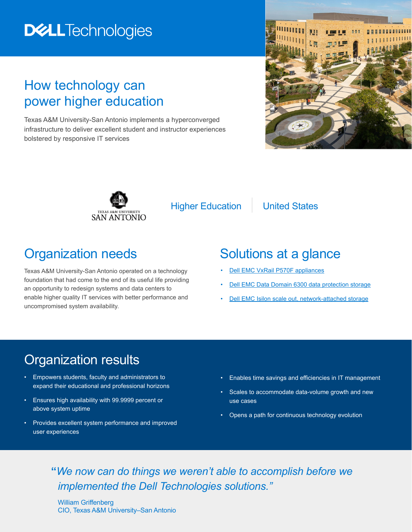# **DELLTechnologies**

## How technology can power higher education

Texas A&M University-San Antonio implements a hyperconverged infrastructure to deliver excellent student and instructor experiences bolstered by responsive IT services





Higher Education | United States

#### Organization needs

Texas A&M University-San Antonio operated on a technology foundation that had come to the end of its useful life providing an opportunity to redesign systems and data centers to enable higher quality IT services with better performance and uncompromised system availability.

#### Solutions at a glance

- **[Dell EMC VxRail P570F appliances](https://www.dellemc.com/en-us/converged-infrastructure/vxrail/index.htm)**
- [Dell EMC Data Domain 6300 data protection storage](https://shop.dellemc.com/en-us/Product-Family/DATA-DOMAIN-PRODUCTS/Dell-EMC-Data-Domain-DD6300-Data-Protection/p/Dell-EMC-Data-Domain-DD6300)
- [Dell EMC Isilon scale out, network-attached storage](https://www.dellemc.com/en-us/storage/isilon/index.htm)

## Organization results

- Empowers students, faculty and administrators to expand their educational and professional horizons
- Ensures high availability with 99.9999 percent or above system uptime
- Provides excellent system performance and improved user experiences
- Enables time savings and efficiencies in IT management
- Scales to accommodate data-volume growth and new use cases
- Opens a path for continuous technology evolution

#### **"***We now can do things we weren't able to accomplish before we implemented the Dell Technologies solutions."*

William Griffenberg CIO, Texas A&M University–San Antonio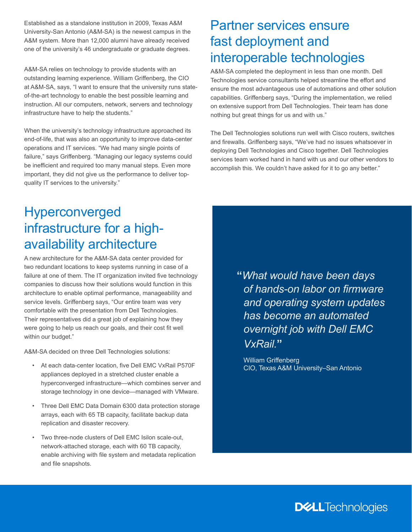Established as a standalone institution in 2009, Texas A&M University-San Antonio (A&M-SA) is the newest campus in the A&M system. More than 12,000 alumni have already received one of the university's 46 undergraduate or graduate degrees.

A&M-SA relies on technology to provide students with an outstanding learning experience. William Griffenberg, the CIO at A&M-SA, says, "I want to ensure that the university runs stateof-the-art technology to enable the best possible learning and instruction. All our computers, network, servers and technology infrastructure have to help the students."

When the university's technology infrastructure approached its end-of-life, that was also an opportunity to improve data-center operations and IT services. "We had many single points of failure," says Griffenberg. "Managing our legacy systems could be inefficient and required too many manual steps. Even more important, they did not give us the performance to deliver topquality IT services to the university."

## Partner services ensure fast deployment and interoperable technologies

A&M-SA completed the deployment in less than one month. Dell Technologies service consultants helped streamline the effort and ensure the most advantageous use of automations and other solution capabilities. Griffenberg says, "During the implementation, we relied on extensive support from Dell Technologies. Their team has done nothing but great things for us and with us."

The Dell Technologies solutions run well with Cisco routers, switches and firewalls. Griffenberg says, "We've had no issues whatsoever in deploying Dell Technologies and Cisco together. Dell Technologies services team worked hand in hand with us and our other vendors to accomplish this. We couldn't have asked for it to go any better."

# Hyperconverged infrastructure for a highavailability architecture

A new architecture for the A&M-SA data center provided for two redundant locations to keep systems running in case of a failure at one of them. The IT organization invited five technology companies to discuss how their solutions would function in this architecture to enable optimal performance, manageability and service levels. Griffenberg says, "Our entire team was very comfortable with the presentation from Dell Technologies. Their representatives did a great job of explaining how they were going to help us reach our goals, and their cost fit well within our budget."

A&M-SA decided on three Dell Technologies solutions:

- At each data-center location, five Dell EMC VxRail P570F appliances deployed in a stretched cluster enable a hyperconverged infrastructure—which combines server and storage technology in one device—managed with VMware.
- Three Dell EMC Data Domain 6300 data protection storage arrays, each with 65 TB capacity, facilitate backup data replication and disaster recovery.
- Two three-node clusters of Dell EMC Isilon scale-out, network-attached storage, each with 60 TB capacity, enable archiving with file system and metadata replication and file snapshots.

**"***What would have been days of hands-on labor on firmware and operating system updates has become an automated overnight job with Dell EMC VxRail.***"**

William Griffenberg CIO, Texas A&M University–San Antonio

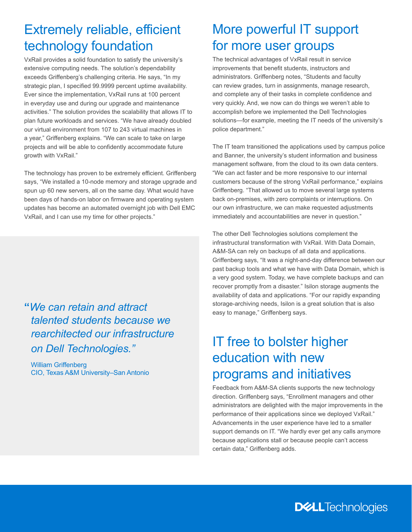## Extremely reliable, efficient technology foundation

VxRail provides a solid foundation to satisfy the university's extensive computing needs. The solution's dependability exceeds Griffenberg's challenging criteria. He says, "In my strategic plan, I specified 99.9999 percent uptime availability. Ever since the implementation, VxRail runs at 100 percent in everyday use and during our upgrade and maintenance activities." The solution provides the scalability that allows IT to plan future workloads and services. "We have already doubled our virtual environment from 107 to 243 virtual machines in a year," Griffenberg explains. "We can scale to take on large projects and will be able to confidently accommodate future growth with VxRail."

The technology has proven to be extremely efficient. Griffenberg says, "We installed a 10-node memory and storage upgrade and spun up 60 new servers, all on the same day. What would have been days of hands-on labor on firmware and operating system updates has become an automated overnight job with Dell EMC VxRail, and I can use my time for other projects."

**"***We can retain and attract talented students because we rearchitected our infrastructure on Dell Technologies."*

William Griffenberg CIO, Texas A&M University–San Antonio

# More powerful IT support for more user groups

The technical advantages of VxRail result in service improvements that benefit students, instructors and administrators. Griffenberg notes, "Students and faculty can review grades, turn in assignments, manage research, and complete any of their tasks in complete confidence and very quickly. And, we now can do things we weren't able to accomplish before we implemented the Dell Technologies solutions—for example, meeting the IT needs of the university's police department."

The IT team transitioned the applications used by campus police and Banner, the university's student information and business management software, from the cloud to its own data centers. "We can act faster and be more responsive to our internal customers because of the strong VxRail performance," explains Griffenberg. "That allowed us to move several large systems back on-premises, with zero complaints or interruptions. On our own infrastructure, we can make requested adjustments immediately and accountabilities are never in question."

The other Dell Technologies solutions complement the infrastructural transformation with VxRail. With Data Domain, A&M-SA can rely on backups of all data and applications. Griffenberg says, "It was a night-and-day difference between our past backup tools and what we have with Data Domain, which is a very good system. Today, we have complete backups and can recover promptly from a disaster." Isilon storage augments the availability of data and applications. "For our rapidly expanding storage-archiving needs, Isilon is a great solution that is also easy to manage," Griffenberg says.

# IT free to bolster higher education with new programs and initiatives

Feedback from A&M-SA clients supports the new technology direction. Griffenberg says, "Enrollment managers and other administrators are delighted with the major improvements in the performance of their applications since we deployed VxRail." Advancements in the user experience have led to a smaller support demands on IT. "We hardly ever get any calls anymore because applications stall or because people can't access certain data," Griffenberg adds.